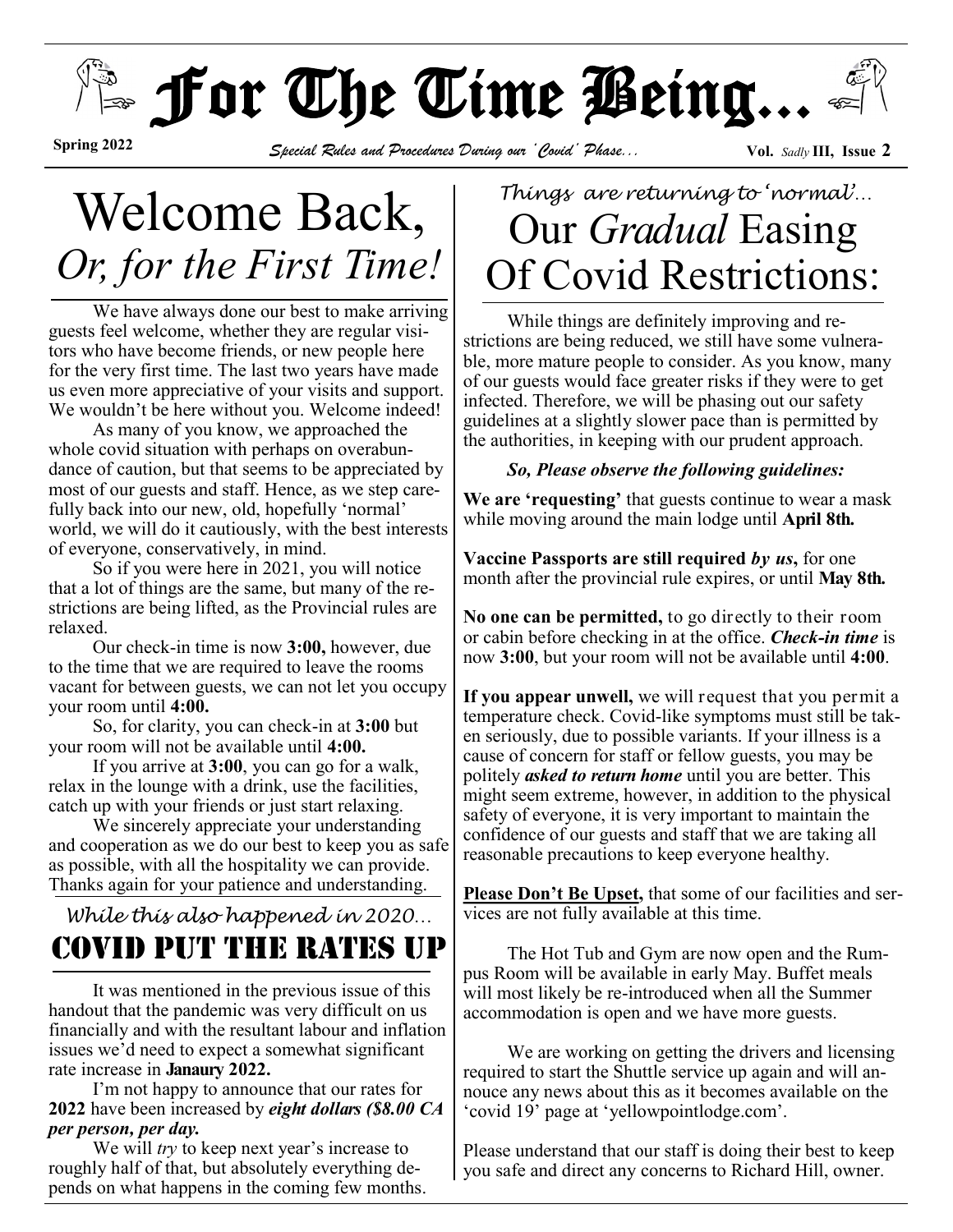# $\mathbb{F}_{\mathbb{P}}$  or The Time Being...

**Spring 2022**

*Special Rules and Procedures During our 'Covid' Phase...* **Vol.** *Sadly* **III, Issue****<sup>2</sup>** 

# Welcome Back, *Or, for the First Time!*

We have always done our best to make arriving guests feel welcome, whether they are regular visitors who have become friends, or new people here for the very first time. The last two years have made us even more appreciative of your visits and support. We wouldn't be here without you. Welcome indeed!

As many of you know, we approached the whole covid situation with perhaps on overabundance of caution, but that seems to be appreciated by most of our guests and staff. Hence, as we step carefully back into our new, old, hopefully 'normal' world, we will do it cautiously, with the best interests of everyone, conservatively, in mind.

So if you were here in 2021, you will notice that a lot of things are the same, but many of the restrictions are being lifted, as the Provincial rules are relaxed.

Our check-in time is now **3:00,** however, due to the time that we are required to leave the rooms vacant for between guests, we can not let you occupy your room until **4:00.** 

So, for clarity, you can check-in at **3:00** but your room will not be available until **4:00.**

If you arrive at **3:00**, you can go for a walk, relax in the lounge with a drink, use the facilities, catch up with your friends or just start relaxing.

We sincerely appreciate your understanding and cooperation as we do our best to keep you as safe as possible, with all the hospitality we can provide. Thanks again for your patience and understanding.

## *While this also happened in 2020…* Covid Put the Rates Up

It was mentioned in the previous issue of this handout that the pandemic was very difficult on us financially and with the resultant labour and inflation issues we'd need to expect a somewhat significant rate increase in **Janaury 2022.**

I'm not happy to announce that our rates for **2022** have been increased by *eight dollars (\$8.00 CA per person, per day.*

We will *try* to keep next year's increase to roughly half of that, but absolutely everything depends on what happens in the coming few months.

# *Things are returning to 'normal'…* Our *Gradual* Easing Of Covid Restrictions:

While things are definitely improving and restrictions are being reduced, we still have some vulnerable, more mature people to consider. As you know, many of our guests would face greater risks if they were to get infected. Therefore, we will be phasing out our safety guidelines at a slightly slower pace than is permitted by the authorities, in keeping with our prudent approach.

#### *So, Please observe the following guidelines:*

**We are 'requesting'** that guests continue to wear a mask while moving around the main lodge until **April 8th.** 

**Vaccine Passports are still required** *by us***,** for one month after the provincial rule expires, or until **May 8th.** 

**No one can be permitted,** to go directly to their room or cabin before checking in at the office. *Check-in time* is now **3:00**, but your room will not be available until **4:00**.

**If you appear unwell,** we will request that you permit a temperature check. Covid-like symptoms must still be taken seriously, due to possible variants. If your illness is a cause of concern for staff or fellow guests, you may be politely *asked to return home* until you are better. This might seem extreme, however, in addition to the physical safety of everyone, it is very important to maintain the confidence of our guests and staff that we are taking all reasonable precautions to keep everyone healthy.

**Please Don't Be Upset,** that some of our facilities and services are not fully available at this time.

The Hot Tub and Gym are now open and the Rumpus Room will be available in early May. Buffet meals will most likely be re-introduced when all the Summer accommodation is open and we have more guests.

We are working on getting the drivers and licensing required to start the Shuttle service up again and will annouce any news about this as it becomes available on the 'covid 19' page at 'yellowpointlodge.com'.

Please understand that our staff is doing their best to keep you safe and direct any concerns to Richard Hill, owner.